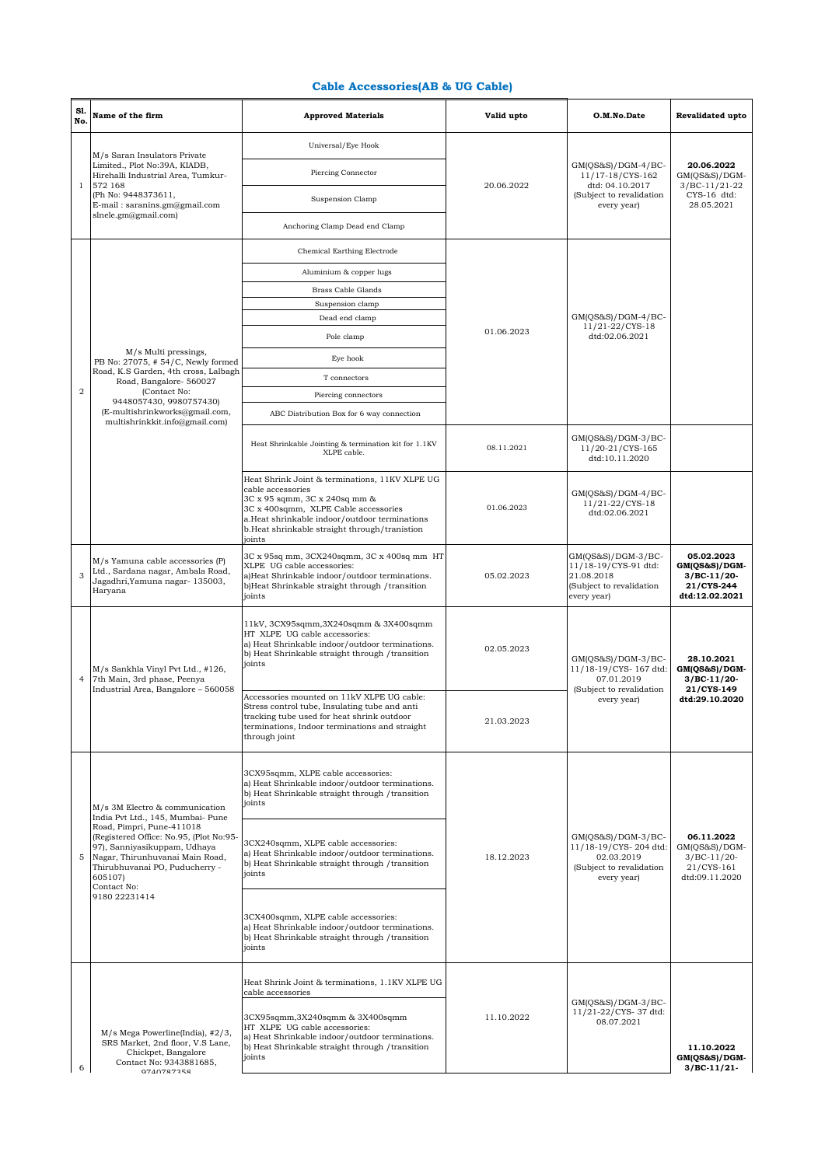## **Cable Accessories(AB & UG Cable)**

| S1.<br>No.     | Name of the firm                                                                                                                                                                                                                                                                            | <b>Approved Materials</b>                                                                                                                                                                                                                                 | Valid upto | O.M.No.Date                                                                                            | <b>Revalidated upto</b>                                                       |
|----------------|---------------------------------------------------------------------------------------------------------------------------------------------------------------------------------------------------------------------------------------------------------------------------------------------|-----------------------------------------------------------------------------------------------------------------------------------------------------------------------------------------------------------------------------------------------------------|------------|--------------------------------------------------------------------------------------------------------|-------------------------------------------------------------------------------|
| $\mathbf{1}$   | M/s Saran Insulators Private<br>Limited., Plot No:39A, KIADB,<br>Hirehalli Industrial Area, Tumkur-<br>572 168<br>(Ph No: 9448373611,<br>E-mail: saranins.gm@gmail.com<br>shele.gm@gmail.com)                                                                                               | Universal/Eye Hook                                                                                                                                                                                                                                        | 20.06.2022 | $GM(QS&S)/DGM-4/BC-$<br>11/17-18/CYS-162<br>dtd: 04.10.2017<br>(Subject to revalidation<br>every year) | 20.06.2022<br>$GM(QS&S)/DGM-$<br>$3/BC-11/21-22$<br>CYS-16 dtd:<br>28.05.2021 |
|                |                                                                                                                                                                                                                                                                                             | Piercing Connector                                                                                                                                                                                                                                        |            |                                                                                                        |                                                                               |
|                |                                                                                                                                                                                                                                                                                             | Suspension Clamp                                                                                                                                                                                                                                          |            |                                                                                                        |                                                                               |
|                |                                                                                                                                                                                                                                                                                             | Anchoring Clamp Dead end Clamp                                                                                                                                                                                                                            |            |                                                                                                        |                                                                               |
|                |                                                                                                                                                                                                                                                                                             | Chemical Earthing Electrode                                                                                                                                                                                                                               |            | $GM(QS&S)/DGM-4/BC-$<br>11/21-22/CYS-18                                                                |                                                                               |
|                |                                                                                                                                                                                                                                                                                             | Aluminium & copper lugs                                                                                                                                                                                                                                   |            |                                                                                                        |                                                                               |
|                |                                                                                                                                                                                                                                                                                             | Brass Cable Glands                                                                                                                                                                                                                                        |            |                                                                                                        |                                                                               |
|                |                                                                                                                                                                                                                                                                                             | Suspension clamp                                                                                                                                                                                                                                          |            |                                                                                                        |                                                                               |
|                |                                                                                                                                                                                                                                                                                             | Dead end clamp                                                                                                                                                                                                                                            |            |                                                                                                        |                                                                               |
|                |                                                                                                                                                                                                                                                                                             | Pole clamp                                                                                                                                                                                                                                                | 01.06.2023 | dtd:02.06.2021                                                                                         |                                                                               |
|                | M/s Multi pressings,<br>PB No: 27075, #54/C, Newly formed                                                                                                                                                                                                                                   | Eye hook                                                                                                                                                                                                                                                  |            |                                                                                                        |                                                                               |
|                | Road, K.S Garden, 4th cross, Lalbagh<br>Road, Bangalore- 560027                                                                                                                                                                                                                             | T connectors                                                                                                                                                                                                                                              |            |                                                                                                        |                                                                               |
| $\overline{2}$ | (Contact No:                                                                                                                                                                                                                                                                                | Piercing connectors                                                                                                                                                                                                                                       |            |                                                                                                        |                                                                               |
|                | 9448057430, 9980757430)<br>(E-multishrinkworks@gmail.com,                                                                                                                                                                                                                                   | ABC Distribution Box for 6 way connection                                                                                                                                                                                                                 |            |                                                                                                        |                                                                               |
|                | multishrinkkit.info@gmail.com)                                                                                                                                                                                                                                                              | Heat Shrinkable Jointing & termination kit for 1.1KV<br>XLPE cable.                                                                                                                                                                                       | 08.11.2021 | GM(QS&S)/DGM-3/BC-<br>11/20-21/CYS-165<br>dtd:10.11.2020                                               |                                                                               |
|                |                                                                                                                                                                                                                                                                                             | Heat Shrink Joint & terminations, 11KV XLPE UG<br>cable accessories<br>3C x 95 sqmm, 3C x 240sq mm &<br>3C x 400sqmm, XLPE Cable accessories<br>a.Heat shrinkable indoor/outdoor terminations<br>b. Heat shrinkable straight through/tranistion<br>joints | 01.06.2023 | GM(QS&S)/DGM-4/BC-<br>11/21-22/CYS-18<br>dtd:02.06.2021                                                |                                                                               |
| 3              | M/s Yamuna cable accessories (P)<br>Ltd., Sardana nagar, Ambala Road,<br>Jagadhri, Yamuna nagar- 135003,<br>Haryana                                                                                                                                                                         | 3C x 95sq mm, 3CX240sqmm, 3C x 400sq mm HT<br>XLPE UG cable accessories:<br>a)Heat Shrinkable indoor/outdoor terminations.<br>b)Heat Shrinkable straight through /transition<br>joints                                                                    | 05.02.2023 | GM(QS&S)/DGM-3/BC-<br>11/18-19/CYS-91 dtd:<br>21.08.2018<br>(Subject to revalidation<br>every year)    | 05.02.2023<br>GM(QS&S)/DGM-<br>$3/BC-11/20$<br>21/CYS-244<br>dtd:12.02.2021   |
| 4              | M/s Sankhla Vinyl Pvt Ltd., #126,<br>7th Main, 3rd phase, Peenya<br>Industrial Area, Bangalore - 560058                                                                                                                                                                                     | 11kV, 3CX95sqmm, 3X240sqmm & 3X400sqmm<br>HT XLPE UG cable accessories:<br>a) Heat Shrinkable indoor/outdoor terminations.<br>b) Heat Shrinkable straight through / transition<br>joints                                                                  | 02.05.2023 | GM(QS&S)/DGM-3/BC-<br>11/18-19/CYS- 167 dtd:<br>07.01.2019<br>(Subject to revalidation                 | 28.10.2021<br>GM(QS&S)/DGM-<br>$3/BC-11/20-$<br>21/CYS-149                    |
|                |                                                                                                                                                                                                                                                                                             | Accessories mounted on 11kV XLPE UG cable:<br>Stress control tube, Insulating tube and anti-<br>tracking tube used for heat shrink outdoor<br>terminations, Indoor terminations and straight<br>through joint                                             | 21.03.2023 | every year)                                                                                            | dtd:29.10.2020                                                                |
| 5              | M/s 3M Electro & communication<br>India Pvt Ltd., 145, Mumbai- Pune<br>Road, Pimpri, Pune-411018<br>(Registered Office: No.95, (Plot No:95-<br>97), Sanniyasikuppam, Udhaya<br>Nagar, Thirunhuvanai Main Road,<br>Thirubhuvanai PO, Puducherry -<br>605107)<br>Contact No:<br>9180 22231414 | 3CX95sqmm, XLPE cable accessories:<br>a) Heat Shrinkable indoor/outdoor terminations.<br>b) Heat Shrinkable straight through /transition<br>joints                                                                                                        | 18.12.2023 | GM(QS&S)/DGM-3/BC-<br>11/18-19/CYS-204 dtd:<br>02.03.2019<br>(Subject to revalidation<br>every year)   |                                                                               |
|                |                                                                                                                                                                                                                                                                                             | 3CX240sqmm, XLPE cable accessories:<br>a) Heat Shrinkable indoor/outdoor terminations.<br>b) Heat Shrinkable straight through /transition<br>joints                                                                                                       |            |                                                                                                        | 06.11.2022<br>GM(QS&S)/DGM-<br>$3/BC-11/20-$<br>21/CYS-161<br>dtd:09.11.2020  |
|                |                                                                                                                                                                                                                                                                                             | 3CX400sqmm, XLPE cable accessories:<br>a) Heat Shrinkable indoor/outdoor terminations.<br>b) Heat Shrinkable straight through /transition<br>joints                                                                                                       |            |                                                                                                        |                                                                               |
|                |                                                                                                                                                                                                                                                                                             | Heat Shrink Joint & terminations, 1.1KV XLPE UG<br>cable accessories                                                                                                                                                                                      |            |                                                                                                        |                                                                               |
| 6              | M/s Mega Powerline(India), #2/3,<br>SRS Market, 2nd floor, V.S Lane,<br>Chickpet, Bangalore<br>Contact No: 9343881685,<br>0740787358                                                                                                                                                        | 3CX95sqmm,3X240sqmm & 3X400sqmm<br>HT XLPE UG cable accessories:<br>a) Heat Shrinkable indoor/outdoor terminations.<br>b) Heat Shrinkable straight through /transition<br>joints                                                                          | 11.10.2022 | GM(QS&S)/DGM-3/BC-<br>11/21-22/CYS-37 dtd:<br>08.07.2021                                               | 11.10.2022<br>GM(QS&S)/DGM-<br>$3/BC-11/21$                                   |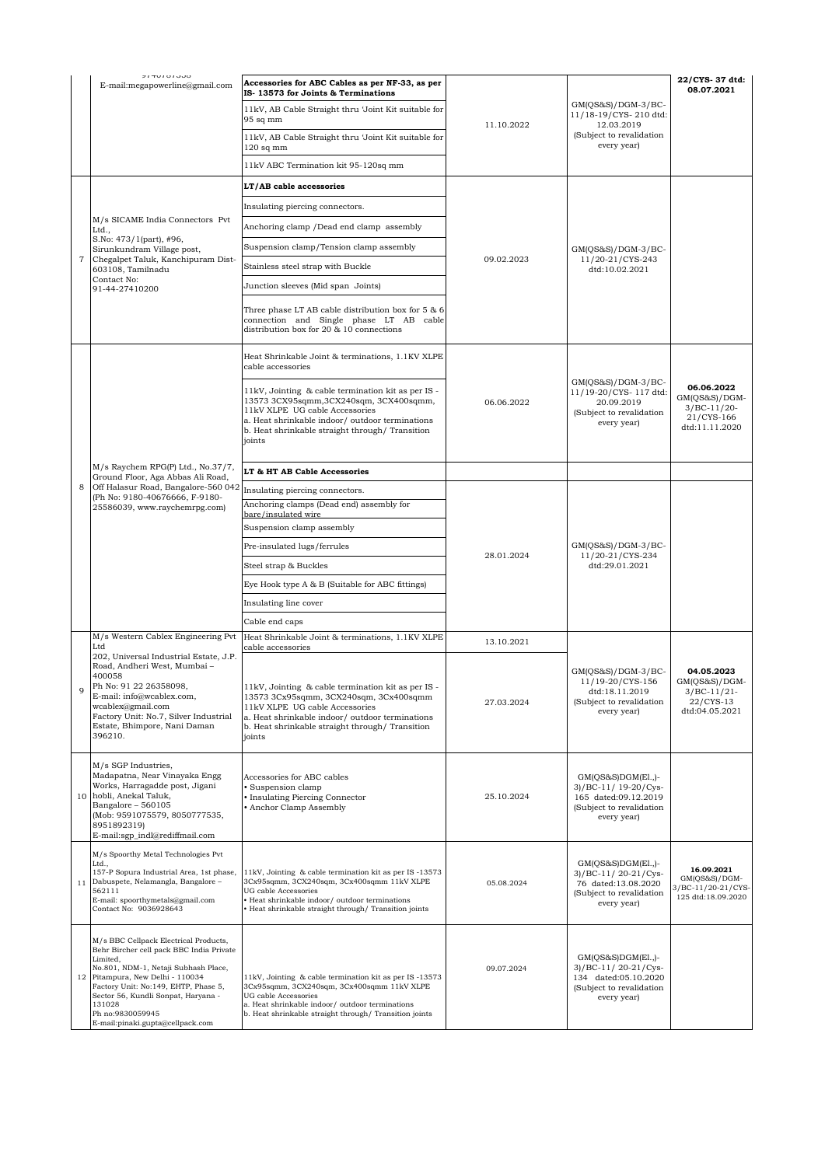|    | 717010100<br>E-mail:megapowerline@gmail.com                                                                                                                                                                                                                                                                             | Accessories for ABC Cables as per NF-33, as per<br>IS-13573 for Joints & Terminations                                                                                                                                                           |            |                                                                                                                 | 22/CYS- 37 dtd:<br>08.07.2021                                                |
|----|-------------------------------------------------------------------------------------------------------------------------------------------------------------------------------------------------------------------------------------------------------------------------------------------------------------------------|-------------------------------------------------------------------------------------------------------------------------------------------------------------------------------------------------------------------------------------------------|------------|-----------------------------------------------------------------------------------------------------------------|------------------------------------------------------------------------------|
|    |                                                                                                                                                                                                                                                                                                                         | 11kV, AB Cable Straight thru 'Joint Kit suitable for<br>$95$ sq mm                                                                                                                                                                              | 11.10.2022 | $GM(QS&S)/DGM-3/BC-$<br>11/18-19/CYS-210 dtd:                                                                   |                                                                              |
|    |                                                                                                                                                                                                                                                                                                                         | 11kV, AB Cable Straight thru 'Joint Kit suitable for<br>$120$ sq mm                                                                                                                                                                             |            | 12.03.2019<br>(Subject to revalidation<br>every year)                                                           |                                                                              |
|    |                                                                                                                                                                                                                                                                                                                         | 11kV ABC Termination kit 95-120sq mm                                                                                                                                                                                                            |            |                                                                                                                 |                                                                              |
|    | M/s SICAME India Connectors Pvt<br>Ltd.,<br>S.No: 473/1(part), #96,<br>Sirunkundram Village post,<br>Chegalpet Taluk, Kanchipuram Dist-<br>603108, Tamilnadu<br>Contact No:<br>91-44-27410200                                                                                                                           | LT/AB cable accessories                                                                                                                                                                                                                         | 09.02.2023 | $GM(QS&S)/DGM-3/BC-$<br>11/20-21/CYS-243<br>dtd:10.02.2021                                                      |                                                                              |
|    |                                                                                                                                                                                                                                                                                                                         | Insulating piercing connectors.                                                                                                                                                                                                                 |            |                                                                                                                 |                                                                              |
|    |                                                                                                                                                                                                                                                                                                                         | Anchoring clamp / Dead end clamp assembly                                                                                                                                                                                                       |            |                                                                                                                 |                                                                              |
|    |                                                                                                                                                                                                                                                                                                                         | Suspension clamp/Tension clamp assembly                                                                                                                                                                                                         |            |                                                                                                                 |                                                                              |
|    |                                                                                                                                                                                                                                                                                                                         | Stainless steel strap with Buckle                                                                                                                                                                                                               |            |                                                                                                                 |                                                                              |
|    |                                                                                                                                                                                                                                                                                                                         | Junction sleeves (Mid span Joints)                                                                                                                                                                                                              |            |                                                                                                                 |                                                                              |
|    |                                                                                                                                                                                                                                                                                                                         | Three phase LT AB cable distribution box for 5 & 6<br>connection and Single phase LT AB cable<br>distribution box for 20 & 10 connections                                                                                                       |            |                                                                                                                 |                                                                              |
|    |                                                                                                                                                                                                                                                                                                                         | Heat Shrinkable Joint & terminations, 1.1KV XLPE<br>cable accessories                                                                                                                                                                           | 06.06.2022 | $GM(QS&S)/DGM-3/BC-$<br>11/19-20/CYS- 117 dtd:<br>20.09.2019<br>(Subject to revalidation<br>every year)         |                                                                              |
|    |                                                                                                                                                                                                                                                                                                                         | 11kV, Jointing & cable termination kit as per IS -<br>13573 3CX95sqmm, 3CX240sqm, 3CX400sqmm,<br>11kV XLPE UG cable Accessories<br>a. Heat shrinkable indoor/ outdoor terminations<br>b. Heat shrinkable straight through/ Transition<br>joints |            |                                                                                                                 | 06.06.2022<br>GM(OS&S)/DGM-<br>$3/BC-11/20-$<br>21/CYS-166<br>dtd:11.11.2020 |
|    | M/s Raychem RPG(P) Ltd., No.37/7,<br>Ground Floor, Aga Abbas Ali Road,                                                                                                                                                                                                                                                  | LT & HT AB Cable Accessories                                                                                                                                                                                                                    |            |                                                                                                                 |                                                                              |
| 8  | Off Halasur Road, Bangalore-560 042<br>(Ph No: 9180-40676666, F-9180-                                                                                                                                                                                                                                                   | Insulating piercing connectors.                                                                                                                                                                                                                 |            |                                                                                                                 |                                                                              |
|    | 25586039, www.raychemrpg.com)                                                                                                                                                                                                                                                                                           | Anchoring clamps (Dead end) assembly for<br>bare/insulated wire                                                                                                                                                                                 |            | $GM(QS&S)/DGM-3/BC-$<br>11/20-21/CYS-234<br>dtd:29.01.2021                                                      |                                                                              |
|    |                                                                                                                                                                                                                                                                                                                         | Suspension clamp assembly                                                                                                                                                                                                                       | 28.01.2024 |                                                                                                                 |                                                                              |
|    |                                                                                                                                                                                                                                                                                                                         | Pre-insulated lugs/ferrules                                                                                                                                                                                                                     |            |                                                                                                                 |                                                                              |
|    |                                                                                                                                                                                                                                                                                                                         | Steel strap & Buckles                                                                                                                                                                                                                           |            |                                                                                                                 |                                                                              |
|    |                                                                                                                                                                                                                                                                                                                         | Eye Hook type A & B (Suitable for ABC fittings)                                                                                                                                                                                                 |            |                                                                                                                 |                                                                              |
|    |                                                                                                                                                                                                                                                                                                                         | Insulating line cover                                                                                                                                                                                                                           |            |                                                                                                                 |                                                                              |
|    |                                                                                                                                                                                                                                                                                                                         | Cable end caps                                                                                                                                                                                                                                  |            |                                                                                                                 |                                                                              |
|    | M/s Western Cablex Engineering Pvt<br>Ltd                                                                                                                                                                                                                                                                               | Heat Shrinkable Joint & terminations, 1.1KV XLPE<br>cable accessories                                                                                                                                                                           | 13.10.2021 |                                                                                                                 |                                                                              |
| Q  | 202, Universal Industrial Estate, J.P.<br>Road, Andheri West, Mumbai -<br>400058<br>Ph No: 91 22 26358098,<br>E-mail: info@wcablex.com,<br>wcablex@gmail.com<br>Factory Unit: No.7, Silver Industrial<br>Estate, Bhimpore, Nani Daman<br>396210.                                                                        | 11kV, Jointing & cable termination kit as per IS -<br>13573 3Cx95sqmm, 3CX240sqm, 3Cx400sqmm<br>11kV XLPE UG cable Accessories<br>a. Heat shrinkable indoor/outdoor terminations<br>b. Heat shrinkable straight through/ Transition<br>joints   | 27.03.2024 | $GM(QS&S)/DGM-3/BC-$<br>11/19-20/CYS-156<br>dtd:18.11.2019<br>(Subject to revalidation<br>every year)           | 04.05.2023<br>$GM(QS&S)/DGM-$<br>$3/BC-11/21$<br>22/CYS-13<br>dtd:04.05.2021 |
| 10 | M/s SGP Industries,<br>Madapatna, Near Vinayaka Engg<br>Works, Harragadde post, Jigani<br>hobli, Anekal Taluk,<br>Bangalore - 560105<br>(Mob: 9591075579, 8050777535,<br>8951892319)<br>E-mail:sgp_indl@rediffmail.com                                                                                                  | Accessories for ABC cables<br>· Suspension clamp<br>Insulating Piercing Connector<br>• Anchor Clamp Assembly                                                                                                                                    | 25.10.2024 | $GM(QS&S)DGM(E1.)$ -<br>3)/BC-11/ 19-20/Cys-<br>165 dated:09.12.2019<br>(Subject to revalidation<br>every year) |                                                                              |
| 11 | M/s Spoorthy Metal Technologies Pvt<br>Ltd.,<br>157-P Sopura Industrial Area, 1st phase,<br>Dabuspete, Nelamangla, Bangalore -<br>562111<br>E-mail: spoorthymetals@gmail.com<br>Contact No: 9036928643                                                                                                                  | 11kV, Jointing & cable termination kit as per IS-13573<br>3Cx95sqmm, 3CX240sqm, 3Cx400sqmm 11kV XLPE<br>UG cable Accessories<br>· Heat shrinkable indoor/ outdoor terminations<br>Heat shrinkable straight through/ Transition joints           | 05.08.2024 | $GM(QS&S)DGM(E1,$ -<br>3)/BC-11/20-21/Cys-<br>76 dated:13.08.2020<br>(Subject to revalidation<br>every year)    | 16.09.2021<br>$GM(QS&S)/DGM-$<br>3/BC-11/20-21/CYS-<br>125 dtd:18.09.2020    |
| 12 | M/s BBC Cellpack Electrical Products,<br>Behr Bircher cell pack BBC India Private<br>Limited,<br>No.801, NDM-1, Netaji Subhash Place,<br>Pitampura, New Delhi - 110034<br>Factory Unit: No:149, EHTP, Phase 5,<br>Sector 56, Kundli Sonpat, Haryana -<br>131028<br>Ph no:9830059945<br>E-mail:pinaki.gupta@cellpack.com | 11kV, Jointing & cable termination kit as per IS-13573<br>3Cx95sqmm, 3CX240sqm, 3Cx400sqmm 11kV XLPE<br>UG cable Accessories<br>a. Heat shrinkable indoor/outdoor terminations<br>b. Heat shrinkable straight through/ Transition joints        | 09.07.2024 | $GM(QS&S)DGM(E1,)-$<br>3)/BC-11/20-21/Cys-<br>134 dated:05.10.2020<br>(Subject to revalidation<br>every year)   |                                                                              |